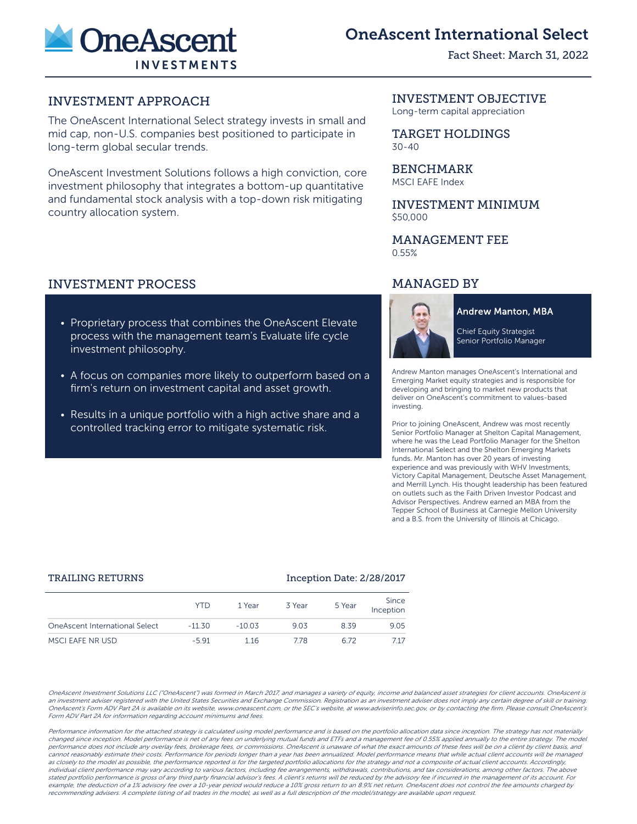

# OneAscent International Select

Fact Sheet: March 31, 2022

# INVESTMENT APPROACH

The OneAscent International Select strategy invests in small and mid cap, non-U.S. companies best positioned to participate in long-term global secular trends.

OneAscent Investment Solutions follows a high conviction, core investment philosophy that integrates a bottom-up quantitative and fundamental stock analysis with a top-down risk mitigating country allocation system.

# INVESTMENT PROCESS

- Proprietary process that combines the OneAscent Elevate process with the management team's Evaluate life cycle investment philosophy.
- A focus on companies more likely to outperform based on a firm's return on investment capital and asset growth.
- Results in a unique portfolio with a high active share and a controlled tracking error to mitigate systematic risk.

# INVESTMENT OBJECTIVE

Long-term capital appreciation

TARGET HOLDINGS 30-40

BENCHMARK MSCI EAFE Index

INVESTMENT MINIMUM \$50,000

# MANAGEMENT FEE 0.55%

# MANAGED BY



**Andrew Manton, MBA** 

Chief Equity Strategist Senior Portfolio Manager

Andrew Manton manages OneAscent's International and Emerging Market equity strategies and is responsible for developing and bringing to market new products that deliver on OneAscent's commitment to values-based investing.

Prior to joining OneAscent, Andrew was most recently Senior Portfolio Manager at Shelton Capital Management, where he was the Lead Portfolio Manager for the Shelton International Select and the Shelton Emerging Markets funds. Mr. Manton has over 20 years of investing experience and was previously with WHV Investments, Victory Capital Management, Deutsche Asset Management, and Merrill Lynch. His thought leadership has been featured on outlets such as the Faith Driven Investor Podcast and Advisor Perspectives. Andrew earned an MBA from the Tepper School of Business at Carnegie Mellon University and a B.S. from the University of Illinois at Chicago.

### TRAILING RETURNS **Inception Date: 2/28/2017**

|                                | <b>YTD</b> | 1 Year   | 3 Year | 5 Year | Since<br>Inception |
|--------------------------------|------------|----------|--------|--------|--------------------|
| OneAscent International Select | $-11.30$   | $-10.03$ | 9.03   | 8.39   | 9.05               |
| MSCI EAFE NR USD               | $-591$     | 116      | 778    | 6.72   | 7.17               |

OneAscent Investment Solutions LLC ("OneAscent") was formed in March 2017, and manages a variety of equity, income and balanced asset strategies for client accounts. OneAscent is an investment adviser registered with the United States Securities and Exchange Commission. Registration as an investment adviser does not imply any certain degree of skill or training. OneAscent's Form ADV Part 2A is available on its website, www.oneascent.com, or the SEC's website, at www.adviserinfo.sec.gov, or by contacting the firm. Please consult OneAscent's Form ADV Part 2A for information regarding account minimums and fees.

Performance information for the attached strategy is calculated using model performance and is based on the portfolio allocation data since inception. The strategy has not materially changed since inception. Model performance is net of any fees on underlying mutual funds and ETFs and a management fee of 0.55% applied annually to the entire strategy. The model performance does not include any overlay fees, brokerage fees, or commissions. OneAscent is unaware of what the exact amounts of these fees will be on a client by client basis, and cannot reasonably estimate their costs. Performance for periods longer than a year has been annualized. Model performance means that while actual client accounts will be managed as closely to the model as possible, the performance reported is for the targeted portfolio allocations for the strategy and not a composite of actual client accounts. Accordingly, individual client performance may vary according to various factors, including fee arrangements, withdrawals, contributions, and tax considerations, among other factors. The above stated portfolio performance is gross of any third party financial advisor's fees. A client's returns will be reduced by the advisory fee if incurred in the management of its account. For example, the deduction of a 1% advisory fee over a 10-year period would reduce a 10% gross return to an 8.9% net return. OneAscent does not control the fee amounts charged by recommending advisers. A complete listing of all trades in the model, as well as a full description of the model/strategy are available upon request.